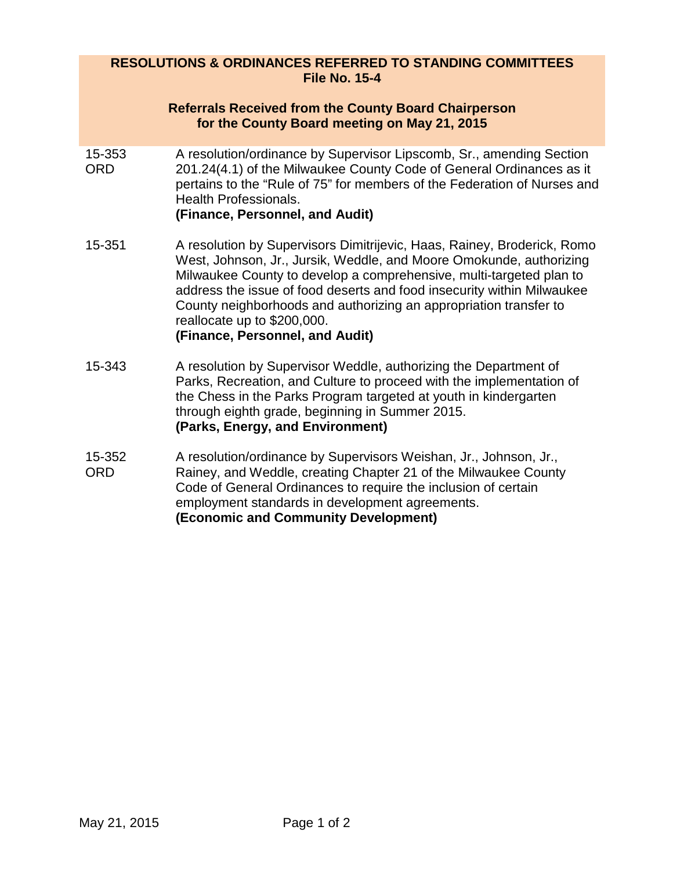## **RESOLUTIONS & ORDINANCES REFERRED TO STANDING COMMITTEES File No. 15-4**

## **Referrals Received from the County Board Chairperson for the County Board meeting on May 21, 2015**

- 15-353 ORD A resolution/ordinance by Supervisor Lipscomb, Sr., amending Section 201.24(4.1) of the Milwaukee County Code of General Ordinances as it pertains to the "Rule of 75" for members of the Federation of Nurses and Health Professionals. **(Finance, Personnel, and Audit)**
- 15-351 A resolution by Supervisors Dimitrijevic, Haas, Rainey, Broderick, Romo West, Johnson, Jr., Jursik, Weddle, and Moore Omokunde, authorizing Milwaukee County to develop a comprehensive, multi-targeted plan to address the issue of food deserts and food insecurity within Milwaukee County neighborhoods and authorizing an appropriation transfer to reallocate up to \$200,000. **(Finance, Personnel, and Audit)**
- 15-343 A resolution by Supervisor Weddle, authorizing the Department of Parks, Recreation, and Culture to proceed with the implementation of the Chess in the Parks Program targeted at youth in kindergarten through eighth grade, beginning in Summer 2015. **(Parks, Energy, and Environment)**
- 15-352 ORD A resolution/ordinance by Supervisors Weishan, Jr., Johnson, Jr., Rainey, and Weddle, creating Chapter 21 of the Milwaukee County Code of General Ordinances to require the inclusion of certain employment standards in development agreements. **(Economic and Community Development)**